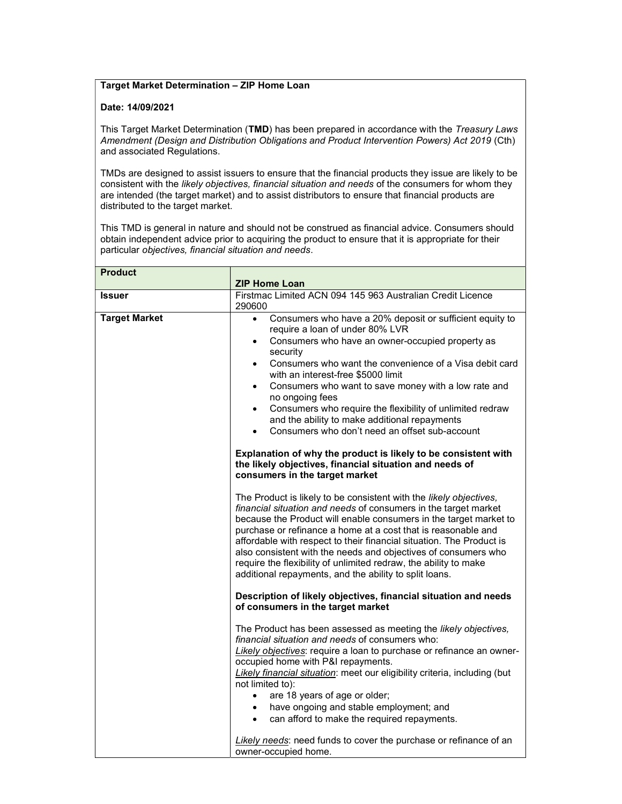## Target Market Determination – ZIP Home Loan

## Date: 14/09/2021

This Target Market Determination (TMD) has been prepared in accordance with the Treasury Laws Amendment (Design and Distribution Obligations and Product Intervention Powers) Act 2019 (Cth) and associated Regulations.

TMDs are designed to assist issuers to ensure that the financial products they issue are likely to be consistent with the likely objectives, financial situation and needs of the consumers for whom they are intended (the target market) and to assist distributors to ensure that financial products are distributed to the target market.

This TMD is general in nature and should not be construed as financial advice. Consumers should obtain independent advice prior to acquiring the product to ensure that it is appropriate for their particular objectives, financial situation and needs.

| <b>Product</b>       |                                                                                                                                                                                                                                                                                                                                                                                                                                                                                                                                                                                                                                                                                                                                                      |
|----------------------|------------------------------------------------------------------------------------------------------------------------------------------------------------------------------------------------------------------------------------------------------------------------------------------------------------------------------------------------------------------------------------------------------------------------------------------------------------------------------------------------------------------------------------------------------------------------------------------------------------------------------------------------------------------------------------------------------------------------------------------------------|
|                      | <b>ZIP Home Loan</b>                                                                                                                                                                                                                                                                                                                                                                                                                                                                                                                                                                                                                                                                                                                                 |
| <b>Issuer</b>        | Firstmac Limited ACN 094 145 963 Australian Credit Licence<br>290600                                                                                                                                                                                                                                                                                                                                                                                                                                                                                                                                                                                                                                                                                 |
| <b>Target Market</b> | Consumers who have a 20% deposit or sufficient equity to<br>$\bullet$<br>require a loan of under 80% LVR<br>Consumers who have an owner-occupied property as<br>$\bullet$<br>security<br>Consumers who want the convenience of a Visa debit card<br>$\bullet$<br>with an interest-free \$5000 limit<br>Consumers who want to save money with a low rate and<br>$\bullet$<br>no ongoing fees<br>Consumers who require the flexibility of unlimited redraw<br>$\bullet$<br>and the ability to make additional repayments<br>Consumers who don't need an offset sub-account<br>$\bullet$<br>Explanation of why the product is likely to be consistent with<br>the likely objectives, financial situation and needs of<br>consumers in the target market |
|                      | The Product is likely to be consistent with the likely objectives,<br>financial situation and needs of consumers in the target market<br>because the Product will enable consumers in the target market to<br>purchase or refinance a home at a cost that is reasonable and<br>affordable with respect to their financial situation. The Product is<br>also consistent with the needs and objectives of consumers who<br>require the flexibility of unlimited redraw, the ability to make<br>additional repayments, and the ability to split loans.                                                                                                                                                                                                  |
|                      | Description of likely objectives, financial situation and needs<br>of consumers in the target market                                                                                                                                                                                                                                                                                                                                                                                                                                                                                                                                                                                                                                                 |
|                      | The Product has been assessed as meeting the likely objectives,<br>financial situation and needs of consumers who:<br>Likely objectives: require a loan to purchase or refinance an owner-<br>occupied home with P&I repayments.<br>Likely financial situation: meet our eligibility criteria, including (but<br>not limited to):<br>are 18 years of age or older;<br>$\bullet$<br>have ongoing and stable employment; and<br>$\bullet$                                                                                                                                                                                                                                                                                                              |
|                      | can afford to make the required repayments.<br>$\bullet$<br>Likely needs: need funds to cover the purchase or refinance of an<br>owner-occupied home.                                                                                                                                                                                                                                                                                                                                                                                                                                                                                                                                                                                                |